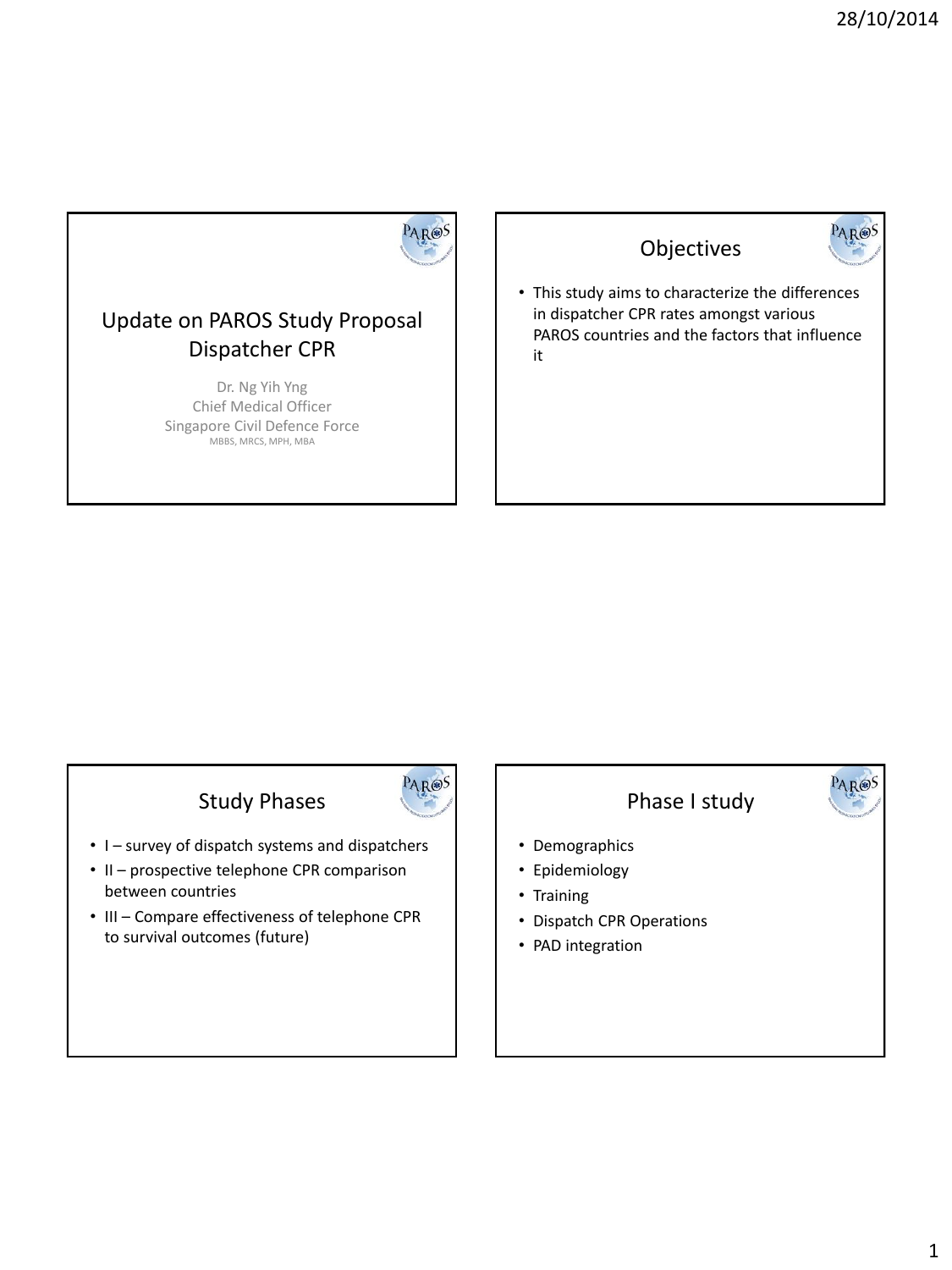

PAROS

#### Update on PAROS Study Proposal Dispatcher CPR

Dr. Ng Yih Yng Chief Medical Officer Singapore Civil Defence Force MBBS, MRCS, MPH, MBA

#### Objectives



PAR®S

• This study aims to characterize the differences in dispatcher CPR rates amongst various PAROS countries and the factors that influence it

# Study Phases

- I survey of dispatch systems and dispatchers
- II prospective telephone CPR comparison between countries
- III Compare effectiveness of telephone CPR to survival outcomes (future)



- Demographics
- Epidemiology
- Training
- Dispatch CPR Operations
- PAD integration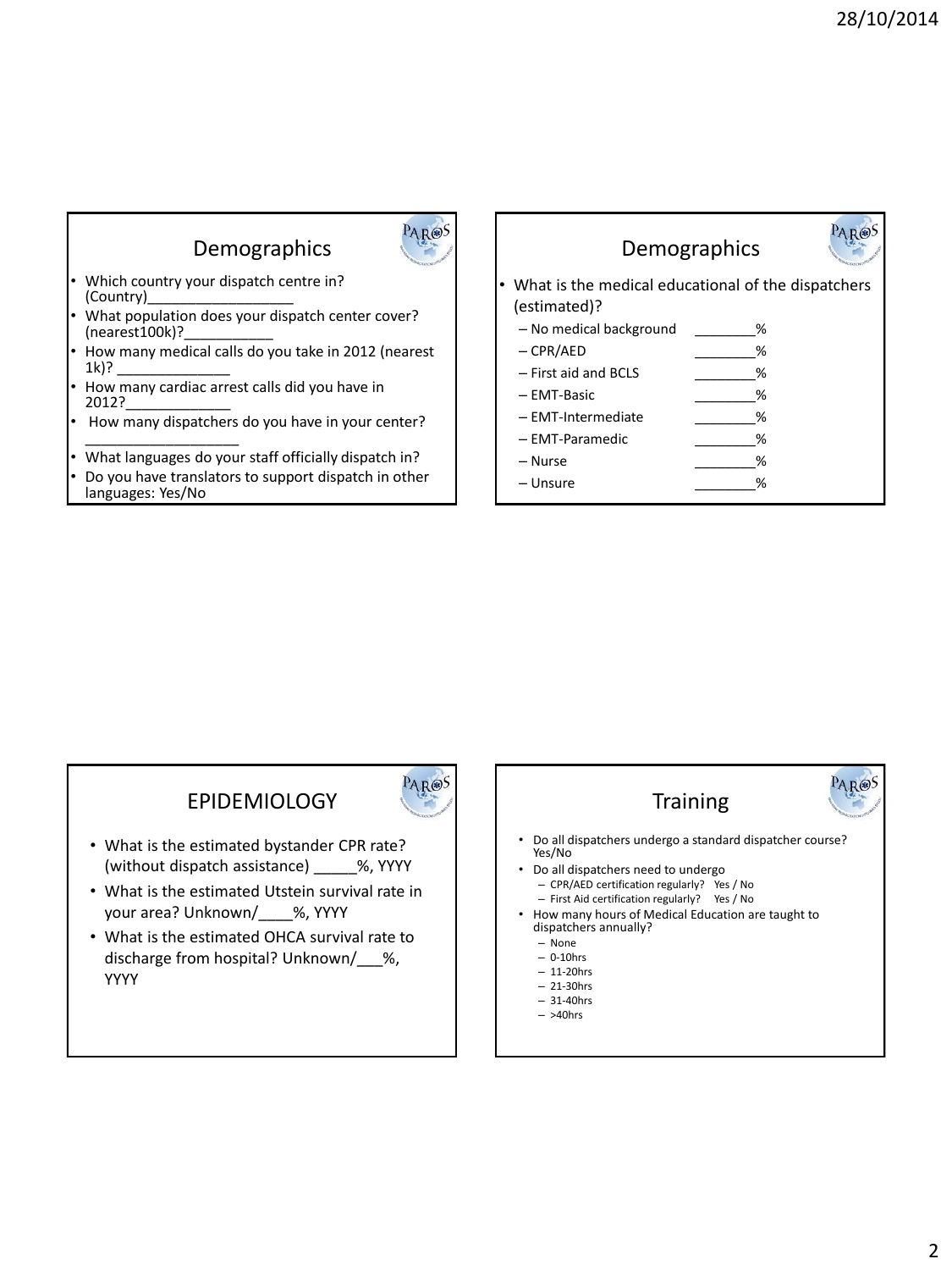# Demographics



PAR®S

- Which country your dispatch centre in? (Country)\_\_\_\_\_\_\_\_\_\_\_\_\_\_\_\_\_\_
- What population does your dispatch center cover?  $(nearest100k)?$
- How many medical calls do you take in 2012 (nearest 1k)? \_\_\_\_\_\_\_\_\_\_\_\_\_\_
- How many cardiac arrest calls did you have in 2012?\_\_\_\_\_\_\_\_\_\_\_\_\_
- How many dispatchers do you have in your center? \_\_\_\_\_\_\_\_\_\_\_\_\_\_\_\_\_\_\_
- What languages do your staff officially dispatch in?
- Do you have translators to support dispatch in other languages: Yes/No

#### Demographics



- What is the medical educational of the dispatchers (estimated)?
	- No medical background \_\_\_\_\_\_\_\_%
	- $-$  CPR/AED  $\%$
	- First aid and BCLS \_\_\_\_\_\_\_\_%
	- EMT-Basic \_\_\_\_\_\_\_\_%
	- EMT-Intermediate \_\_\_\_\_\_\_\_%
	- EMT-Paramedic \_\_\_\_\_\_\_\_%
	- $-$  Nurse  $\%$
	- $-$  Unsure  $\%$

### **EPIDEMIOLOGY**

- What is the estimated bystander CPR rate? (without dispatch assistance) %, YYYY
- What is the estimated Utstein survival rate in your area? Unknown/\_\_\_\_%, YYYY
- What is the estimated OHCA survival rate to discharge from hospital? Unknown/\_\_\_%, YYYY



- 
- >40hrs